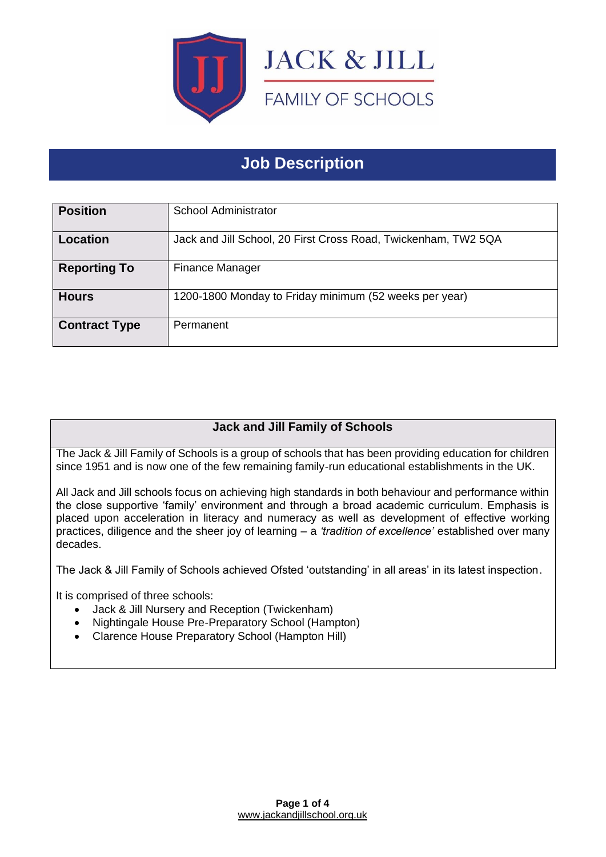

# **Job Description**

| <b>Position</b>      | School Administrator                                           |
|----------------------|----------------------------------------------------------------|
| Location             | Jack and Jill School, 20 First Cross Road, Twickenham, TW2 5QA |
| <b>Reporting To</b>  | <b>Finance Manager</b>                                         |
| <b>Hours</b>         | 1200-1800 Monday to Friday minimum (52 weeks per year)         |
| <b>Contract Type</b> | Permanent                                                      |

## **Jack and Jill Family of Schools**

The Jack & Jill Family of Schools is a group of schools that has been providing education for children since 1951 and is now one of the few remaining family-run educational establishments in the UK.

All Jack and Jill schools focus on achieving high standards in both behaviour and performance within the close supportive 'family' environment and through a broad academic curriculum. Emphasis is placed upon acceleration in literacy and numeracy as well as development of effective working practices, diligence and the sheer joy of learning – a *'tradition of excellence'* established over many decades.

The Jack & Jill Family of Schools achieved Ofsted 'outstanding' in all areas' in its latest inspection.

It is comprised of three schools:

- Jack & Jill Nursery and Reception (Twickenham)
- Nightingale House Pre-Preparatory School (Hampton)
- Clarence House Preparatory School (Hampton Hill)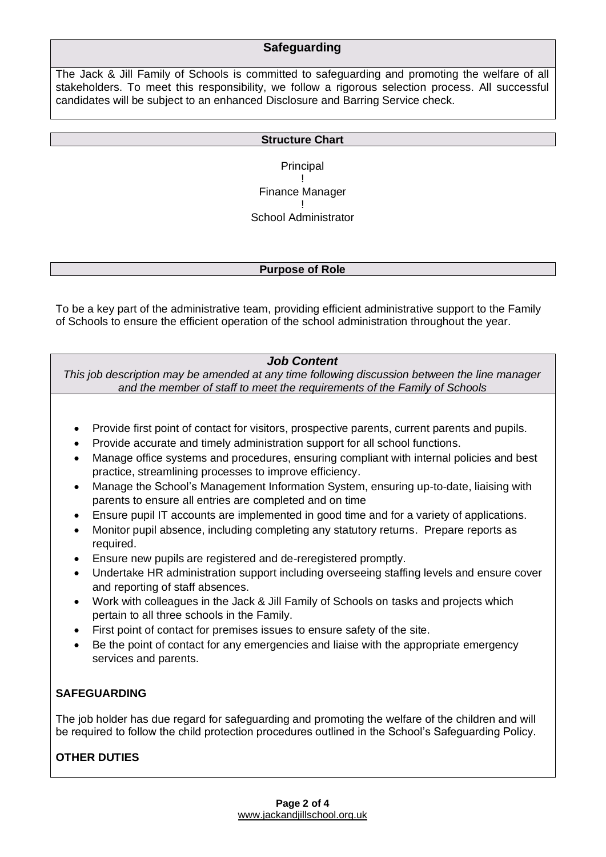## **Safeguarding**

The Jack & Jill Family of Schools is committed to safeguarding and promoting the welfare of all stakeholders. To meet this responsibility, we follow a rigorous selection process. All successful candidates will be subject to an enhanced Disclosure and Barring Service check.

#### **Structure Chart**

**Principal** ! Finance Manager ! School Administrator

#### **Purpose of Role**

To be a key part of the administrative team, providing efficient administrative support to the Family of Schools to ensure the efficient operation of the school administration throughout the year.

## *Job Content*

*This job description may be amended at any time following discussion between the line manager and the member of staff to meet the requirements of the Family of Schools*

- Provide first point of contact for visitors, prospective parents, current parents and pupils.
- Provide accurate and timely administration support for all school functions.
- Manage office systems and procedures, ensuring compliant with internal policies and best practice, streamlining processes to improve efficiency.
- Manage the School's Management Information System, ensuring up-to-date, liaising with parents to ensure all entries are completed and on time
- Ensure pupil IT accounts are implemented in good time and for a variety of applications.
- Monitor pupil absence, including completing any statutory returns. Prepare reports as required.
- Ensure new pupils are registered and de-reregistered promptly.
- Undertake HR administration support including overseeing staffing levels and ensure cover and reporting of staff absences.
- Work with colleagues in the Jack & Jill Family of Schools on tasks and projects which pertain to all three schools in the Family.
- First point of contact for premises issues to ensure safety of the site.
- Be the point of contact for any emergencies and liaise with the appropriate emergency services and parents.

## **SAFEGUARDING**

The job holder has due regard for safeguarding and promoting the welfare of the children and will be required to follow the child protection procedures outlined in the School's Safeguarding Policy.

## **OTHER DUTIES**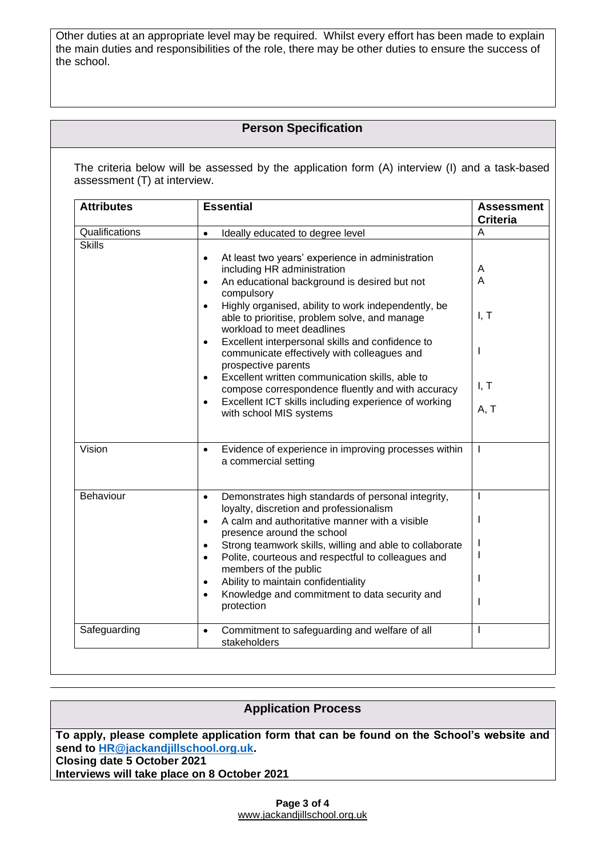Other duties at an appropriate level may be required. Whilst every effort has been made to explain the main duties and responsibilities of the role, there may be other duties to ensure the success of the school.

## **Person Specification**

The criteria below will be assessed by the application form (A) interview (I) and a task-based assessment (T) at interview.

| <b>Attributes</b> | <b>Essential</b>                                                                                                                                                                                                                                                                                                                                                                                                                                                                                                                                                                                                                                                                       | <b>Assessment</b>                     |
|-------------------|----------------------------------------------------------------------------------------------------------------------------------------------------------------------------------------------------------------------------------------------------------------------------------------------------------------------------------------------------------------------------------------------------------------------------------------------------------------------------------------------------------------------------------------------------------------------------------------------------------------------------------------------------------------------------------------|---------------------------------------|
| Qualifications    | Ideally educated to degree level<br>$\bullet$                                                                                                                                                                                                                                                                                                                                                                                                                                                                                                                                                                                                                                          | <b>Criteria</b><br>A                  |
| <b>Skills</b>     | At least two years' experience in administration<br>$\bullet$<br>including HR administration<br>An educational background is desired but not<br>$\bullet$<br>compulsory<br>Highly organised, ability to work independently, be<br>$\bullet$<br>able to prioritise, problem solve, and manage<br>workload to meet deadlines<br>Excellent interpersonal skills and confidence to<br>$\bullet$<br>communicate effectively with colleagues and<br>prospective parents<br>Excellent written communication skills, able to<br>$\bullet$<br>compose correspondence fluently and with accuracy<br>Excellent ICT skills including experience of working<br>$\bullet$<br>with school MIS systems | A<br>A<br>I, T<br>ı<br>I, T<br>A, T   |
| Vision            | Evidence of experience in improving processes within<br>$\bullet$<br>a commercial setting                                                                                                                                                                                                                                                                                                                                                                                                                                                                                                                                                                                              | $\mathbf{I}$                          |
| Behaviour         | Demonstrates high standards of personal integrity,<br>$\bullet$<br>loyalty, discretion and professionalism<br>A calm and authoritative manner with a visible<br>$\bullet$<br>presence around the school<br>Strong teamwork skills, willing and able to collaborate<br>$\bullet$<br>Polite, courteous and respectful to colleagues and<br>$\bullet$<br>members of the public<br>Ability to maintain confidentiality<br>$\bullet$<br>Knowledge and commitment to data security and<br>$\bullet$<br>protection                                                                                                                                                                            | $\mathbf{I}$<br>I<br>I<br>I<br>I<br>I |
| Safeguarding      | Commitment to safeguarding and welfare of all<br>$\bullet$<br>stakeholders                                                                                                                                                                                                                                                                                                                                                                                                                                                                                                                                                                                                             | $\mathbf{I}$                          |

| <b>Application Process</b>                                                               |  |
|------------------------------------------------------------------------------------------|--|
|                                                                                          |  |
|                                                                                          |  |
|                                                                                          |  |
| To apply, please complete application form that can be found on the School's website and |  |
| send to HR@jackandjillschool.org.uk.                                                     |  |
|                                                                                          |  |
| Closing date 5 October 2021                                                              |  |
|                                                                                          |  |
| Interviews will take place on 8 October 2021                                             |  |